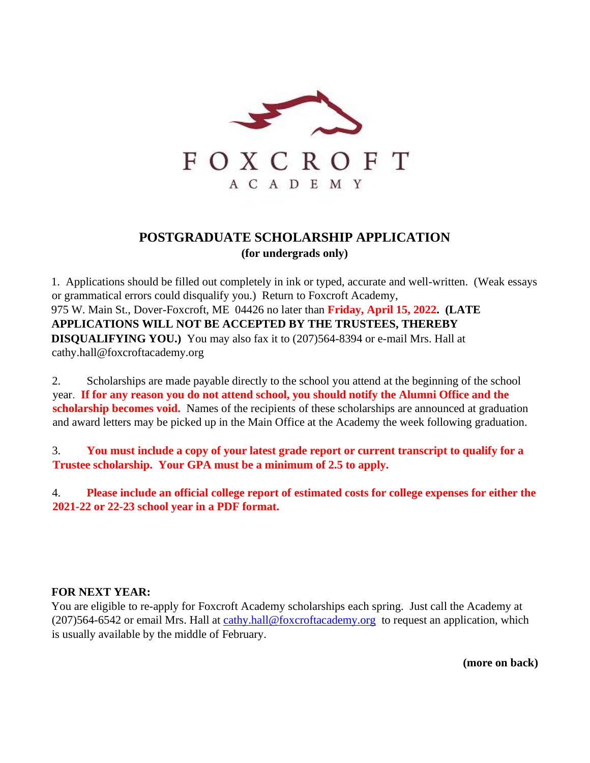

# **POSTGRADUATE SCHOLARSHIP APPLICATION (for undergrads only)**

1. Applications should be filled out completely in ink or typed, accurate and well-written. (Weak essays or grammatical errors could disqualify you.) Return to Foxcroft Academy, 975 W. Main St., Dover-Foxcroft, ME 04426 no later than **Friday, April 15, 2022. (LATE APPLICATIONS WILL NOT BE ACCEPTED BY THE TRUSTEES, THEREBY DISQUALIFYING YOU.)** You may also fax it to (207)564-8394 or e-mail Mrs. Hall at cathy.hall@foxcroftacademy.org

2. Scholarships are made payable directly to the school you attend at the beginning of the school year. **If for any reason you do not attend school, you should notify the Alumni Office and the scholarship becomes void.** Names of the recipients of these scholarships are announced at graduation and award letters may be picked up in the Main Office at the Academy the week following graduation.

3. **You must include a copy of your latest grade report or current transcript to qualify for a Trustee scholarship. Your GPA must be a minimum of 2.5 to apply.** 

4. **Please include an official college report of estimated costs for college expenses for either the 2021-22 or 22-23 school year in a PDF format.** 

#### **FOR NEXT YEAR:**

You are eligible to re-apply for Foxcroft Academy scholarships each spring. Just call the Academy at (207)564-6542 or email Mrs. Hall at cathy.hall@foxcroftacademy.org to request an application, which is usually available by the middle of February.

**(more on back)**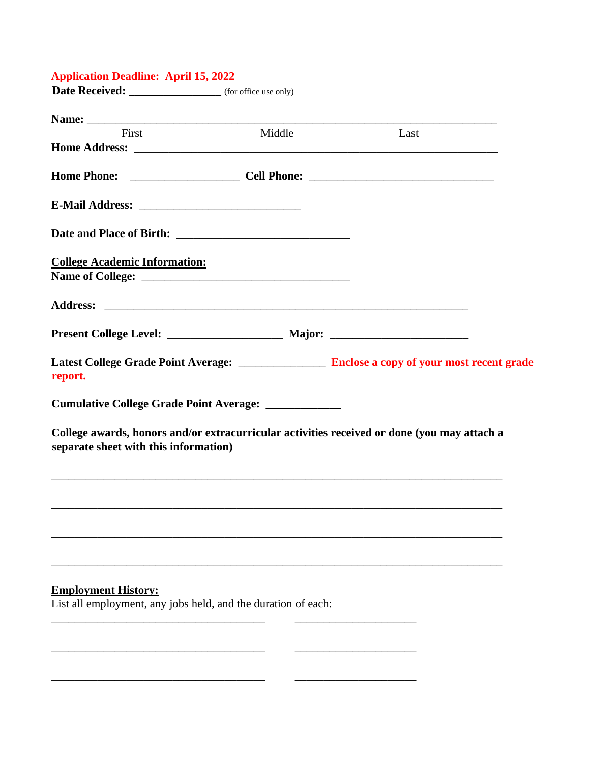#### **Application Deadline: April 15, 2022**

Date Received: \_\_\_\_\_\_\_\_\_\_\_\_\_\_\_\_\_\_\_ (for office use only)

| First                                                         | Middle | Last                                                                                             |
|---------------------------------------------------------------|--------|--------------------------------------------------------------------------------------------------|
|                                                               |        |                                                                                                  |
|                                                               |        |                                                                                                  |
|                                                               |        |                                                                                                  |
|                                                               |        |                                                                                                  |
| <b>College Academic Information:</b>                          |        |                                                                                                  |
|                                                               |        |                                                                                                  |
|                                                               |        |                                                                                                  |
|                                                               |        |                                                                                                  |
| report.                                                       |        | Latest College Grade Point Average: ___________________ Enclose a copy of your most recent grade |
| Cumulative College Grade Point Average: ______________        |        |                                                                                                  |
| separate sheet with this information)                         |        | College awards, honors and/or extracurricular activities received or done (you may attach a      |
|                                                               |        |                                                                                                  |
|                                                               |        |                                                                                                  |
|                                                               |        |                                                                                                  |
| <b>Employment History:</b>                                    |        |                                                                                                  |
| List all employment, any jobs held, and the duration of each: |        |                                                                                                  |

\_\_\_\_\_\_\_\_\_\_\_\_\_\_\_\_\_\_\_\_\_\_\_\_\_\_\_\_\_\_\_\_\_\_\_\_\_ \_\_\_\_\_\_\_\_\_\_\_\_\_\_\_\_\_\_\_\_\_

 $\overline{\phantom{a}}$  , and the contract of  $\overline{\phantom{a}}$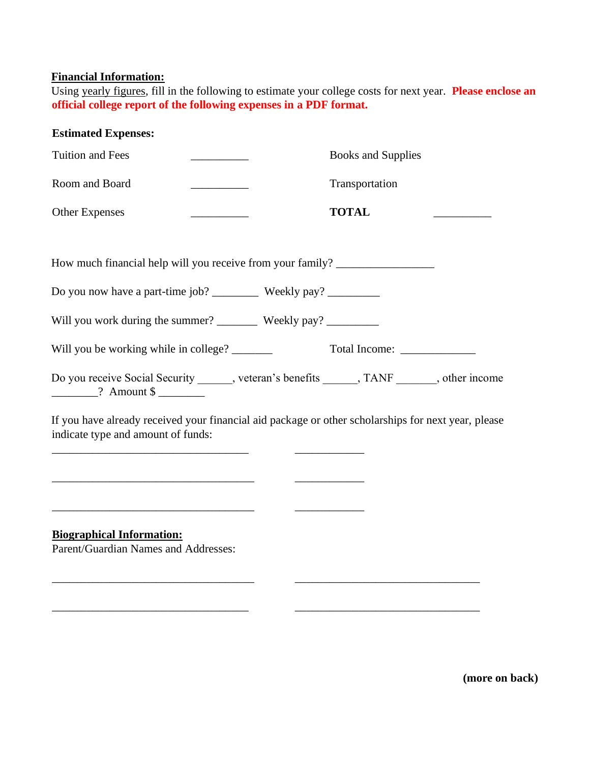## **Financial Information:**

Using yearly figures, fill in the following to estimate your college costs for next year. **Please enclose an official college report of the following expenses in a PDF format.** 

### **Estimated Expenses:**

| Tuition and Fees                                                                                                                          |                                         |              | <b>Books and Supplies</b> |  |
|-------------------------------------------------------------------------------------------------------------------------------------------|-----------------------------------------|--------------|---------------------------|--|
| Room and Board                                                                                                                            | <u> 1990 - Johann Barbara, martxa a</u> |              | Transportation            |  |
| <b>Other Expenses</b>                                                                                                                     |                                         | <b>TOTAL</b> |                           |  |
| How much financial help will you receive from your family? _____________________                                                          |                                         |              |                           |  |
|                                                                                                                                           |                                         |              |                           |  |
|                                                                                                                                           |                                         |              |                           |  |
| Will you be working while in college? _______                                                                                             |                                         |              | Total Income:             |  |
| Do you receive Social Security ______, veteran's benefits ______, TANF ______, other income<br>$\frac{1}{2}$ Amount \$                    |                                         |              |                           |  |
| If you have already received your financial aid package or other scholarships for next year, please<br>indicate type and amount of funds: |                                         |              |                           |  |
|                                                                                                                                           |                                         |              |                           |  |
| <b>Biographical Information:</b><br>Parent/Guardian Names and Addresses:                                                                  |                                         |              |                           |  |
|                                                                                                                                           |                                         |              |                           |  |

\_\_\_\_\_\_\_\_\_\_\_\_\_\_\_\_\_\_\_\_\_\_\_\_\_\_\_\_\_\_\_\_\_\_ \_\_\_\_\_\_\_\_\_\_\_\_\_\_\_\_\_\_\_\_\_\_\_\_\_\_\_\_\_\_\_\_

**(more on back)**